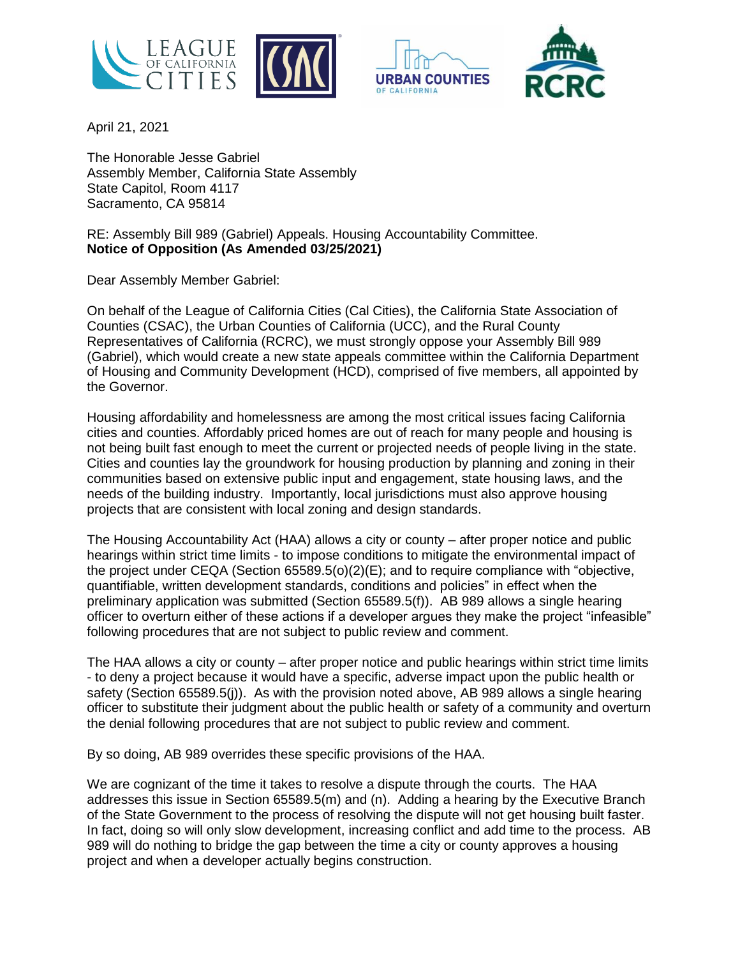





April 21, 2021

The Honorable Jesse Gabriel Assembly Member, California State Assembly State Capitol, Room 4117 Sacramento, CA 95814

RE: Assembly Bill 989 (Gabriel) Appeals. Housing Accountability Committee. **Notice of Opposition (As Amended 03/25/2021)**

Dear Assembly Member Gabriel:

On behalf of the League of California Cities (Cal Cities), the California State Association of Counties (CSAC), the Urban Counties of California (UCC), and the Rural County Representatives of California (RCRC), we must strongly oppose your Assembly Bill 989 (Gabriel), which would create a new state appeals committee within the California Department of Housing and Community Development (HCD), comprised of five members, all appointed by the Governor.

Housing affordability and homelessness are among the most critical issues facing California cities and counties. Affordably priced homes are out of reach for many people and housing is not being built fast enough to meet the current or projected needs of people living in the state. Cities and counties lay the groundwork for housing production by planning and zoning in their communities based on extensive public input and engagement, state housing laws, and the needs of the building industry. Importantly, local jurisdictions must also approve housing projects that are consistent with local zoning and design standards.

The Housing Accountability Act (HAA) allows a city or county – after proper notice and public hearings within strict time limits - to impose conditions to mitigate the environmental impact of the project under CEQA (Section 65589.5(o)(2)(E); and to require compliance with "objective, quantifiable, written development standards, conditions and policies" in effect when the preliminary application was submitted (Section 65589.5(f)). AB 989 allows a single hearing officer to overturn either of these actions if a developer argues they make the project "infeasible" following procedures that are not subject to public review and comment.

The HAA allows a city or county – after proper notice and public hearings within strict time limits - to deny a project because it would have a specific, adverse impact upon the public health or safety (Section 65589.5(j)). As with the provision noted above, AB 989 allows a single hearing officer to substitute their judgment about the public health or safety of a community and overturn the denial following procedures that are not subject to public review and comment.

By so doing, AB 989 overrides these specific provisions of the HAA.

We are cognizant of the time it takes to resolve a dispute through the courts. The HAA addresses this issue in Section 65589.5(m) and (n). Adding a hearing by the Executive Branch of the State Government to the process of resolving the dispute will not get housing built faster. In fact, doing so will only slow development, increasing conflict and add time to the process. AB 989 will do nothing to bridge the gap between the time a city or county approves a housing project and when a developer actually begins construction.